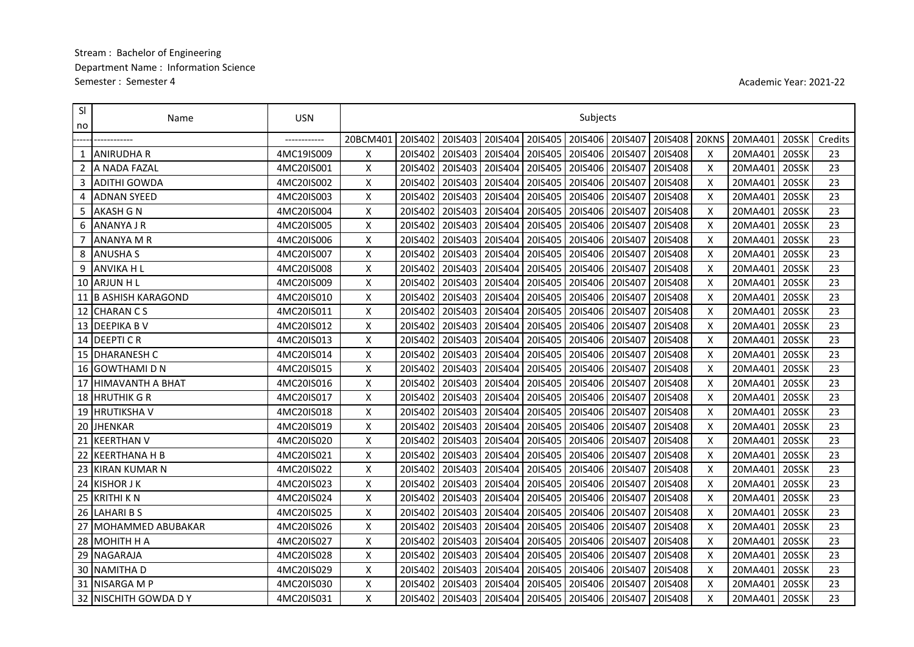## Stream: Bachelor of Engineering Department Name: Information Science Semester: Semester 4

Academic Year: 2021-22

| SI<br>no | Name                     | <b>USN</b>   | Subjects           |         |                             |         |         |         |         |         |       |         |       |         |
|----------|--------------------------|--------------|--------------------|---------|-----------------------------|---------|---------|---------|---------|---------|-------|---------|-------|---------|
|          |                          | ------------ | 20BCM401           | 2015402 | 20IS403                     | 20IS404 | 20IS405 | 20IS406 | 20IS407 | 20IS408 | 20KNS | 20MA401 | 20SSK | Credits |
|          | ANIRUDHA R               | 4MC19IS009   | Χ                  | 20IS402 | 20IS403                     | 20IS404 | 20IS405 | 20IS406 | 20IS407 | 20IS408 | X     | 20MA401 | 20SSK | 23      |
| 2        | A NADA FAZAL             | 4MC20IS001   | X                  | 20IS402 | 20IS403                     | 20IS404 | 20IS405 | 20IS406 | 20IS407 | 20IS408 | X     | 20MA401 | 20SSK | 23      |
| 3        | <b>ADITHI GOWDA</b>      | 4MC20IS002   | X                  | 20IS402 | 20IS403                     | 20IS404 | 20IS405 | 20IS406 | 20IS407 | 20IS408 | X     | 20MA401 | 20SSK | 23      |
| 4        | <b>ADNAN SYEED</b>       | 4MC20IS003   | X                  | 20IS402 | 20IS403                     | 20IS404 | 20IS405 | 20IS406 | 20IS407 | 20IS408 | X     | 20MA401 | 20SSK | 23      |
| 5        | <b>AKASH G N</b>         | 4MC20IS004   | $\pmb{\mathsf{X}}$ | 20IS402 | 20IS403                     | 20IS404 | 20IS405 | 20IS406 | 20IS407 | 20IS408 | X     | 20MA401 | 20SSK | 23      |
| 6        | <b>ANANYA J R</b>        | 4MC20IS005   | X                  | 20IS402 | 20IS403                     | 20IS404 | 20IS405 | 20IS406 | 20IS407 | 20IS408 | X     | 20MA401 | 20SSK | 23      |
|          | <b>ANANYA M R</b>        | 4MC20IS006   | X                  | 20IS402 | 20IS403                     | 20IS404 | 20IS405 | 20IS406 | 20IS407 | 20IS408 | X     | 20MA401 | 20SSK | 23      |
| 8        | <b>ANUSHA S</b>          | 4MC20IS007   | $\pmb{\mathsf{X}}$ | 20IS402 | 20IS403                     | 20IS404 | 20IS405 | 20IS406 | 20IS407 | 20IS408 | X     | 20MA401 | 20SSK | 23      |
| 9        | <b>ANVIKA HL</b>         | 4MC20IS008   | $\pmb{\mathsf{X}}$ | 20IS402 | 20IS403                     | 20IS404 | 20IS405 | 20IS406 | 20IS407 | 20IS408 | X     | 20MA401 | 20SSK | 23      |
|          | 10 ARJUN H L             | 4MC20IS009   | $\pmb{\mathsf{X}}$ | 20IS402 | 20IS403                     | 20IS404 | 20IS405 | 20IS406 | 20IS407 | 20IS408 | X     | 20MA401 | 20SSK | 23      |
| 11       | <b>B ASHISH KARAGOND</b> | 4MC20IS010   | $\pmb{\mathsf{X}}$ | 20IS402 | 20IS403                     | 20IS404 | 20IS405 | 20IS406 | 20IS407 | 20IS408 | X     | 20MA401 | 20SSK | 23      |
| 12       | <b>CHARAN CS</b>         | 4MC20IS011   | $\pmb{\mathsf{X}}$ | 20IS402 | 20IS403                     | 20IS404 | 20IS405 | 20IS406 | 20IS407 | 20IS408 | X     | 20MA401 | 20SSK | 23      |
| 13       | <b>DEEPIKA BV</b>        | 4MC20IS012   | $\pmb{\mathsf{X}}$ | 20IS402 | 20IS403                     | 20IS404 | 20IS405 | 20IS406 | 20IS407 | 20IS408 | X     | 20MA401 | 20SSK | 23      |
|          | 14 DEEPTI CR             | 4MC20IS013   | X                  | 20IS402 | 20IS403                     | 20IS404 | 20IS405 | 20IS406 | 20IS407 | 20IS408 | X     | 20MA401 | 20SSK | 23      |
|          | 15 DHARANESH C           | 4MC20IS014   | Χ                  | 20IS402 | 20IS403                     | 20IS404 | 20IS405 | 20IS406 | 20IS407 | 20IS408 | X     | 20MA401 | 20SSK | 23      |
|          | 16 GOWTHAMI D N          | 4MC20IS015   | X                  | 20IS402 | 20IS403                     | 20IS404 | 20IS405 | 20IS406 | 20IS407 | 20IS408 | X     | 20MA401 | 20SSK | 23      |
|          | 17 HIMAVANTH A BHAT      | 4MC20IS016   | $\pmb{\mathsf{X}}$ | 20IS402 | 20IS403                     | 20IS404 | 20IS405 | 20IS406 | 20IS407 | 20IS408 | X     | 20MA401 | 20SSK | 23      |
|          | 18 HRUTHIK GR            | 4MC20IS017   | X                  | 20IS402 | 20IS403                     | 20IS404 | 20IS405 | 20IS406 | 20IS407 | 20IS408 | X     | 20MA401 | 20SSK | 23      |
|          | 19 HRUTIKSHA V           | 4MC20IS018   | $\pmb{\mathsf{X}}$ | 20IS402 | 20IS403                     | 20IS404 | 20IS405 | 20IS406 | 20IS407 | 20IS408 | X     | 20MA401 | 20SSK | 23      |
| 20       | <b>JHENKAR</b>           | 4MC20IS019   | $\pmb{\mathsf{X}}$ | 20IS402 | 20IS403                     | 20IS404 | 20IS405 | 20IS406 | 20IS407 | 20IS408 | Χ     | 20MA401 | 20SSK | 23      |
| 21       | <b>KEERTHAN V</b>        | 4MC20IS020   | X                  | 20IS402 | 20IS403                     | 20IS404 | 20IS405 | 20IS406 | 20IS407 | 20IS408 | X     | 20MA401 | 20SSK | 23      |
|          | 22 KEERTHANA H B         | 4MC20IS021   | X                  | 20IS402 | 20IS403                     | 20IS404 | 20IS405 | 20IS406 | 20IS407 | 20IS408 | X     | 20MA401 | 20SSK | 23      |
|          | 23 KIRAN KUMAR N         | 4MC20IS022   | X                  | 20IS402 | 20IS403                     | 20IS404 | 20IS405 | 20IS406 | 20IS407 | 20IS408 | X     | 20MA401 | 20SSK | 23      |
|          | 24 KISHOR J K            | 4MC20IS023   | $\pmb{\mathsf{X}}$ | 20IS402 | 20IS403                     | 20IS404 | 20IS405 | 20IS406 | 20IS407 | 20IS408 | X     | 20MA401 | 20SSK | 23      |
|          | 25 KRITHI K N            | 4MC20IS024   | X                  | 20IS402 | 20IS403                     | 20IS404 | 20IS405 | 20IS406 | 20IS407 | 20IS408 | X     | 20MA401 | 20SSK | 23      |
| 26       | <b>LAHARIBS</b>          | 4MC20IS025   | $\pmb{\mathsf{X}}$ | 20IS402 | 20IS403                     | 20IS404 | 20IS405 | 20IS406 | 20IS407 | 20IS408 | X     | 20MA401 | 20SSK | 23      |
| 27       | <b>MOHAMMED ABUBAKAR</b> | 4MC20IS026   | X                  | 20IS402 | 20IS403                     | 20IS404 | 20IS405 | 20IS406 | 20IS407 | 20IS408 | X     | 20MA401 | 20SSK | 23      |
|          | 28 MOHITH H A            | 4MC20IS027   | X                  | 20IS402 | 20IS403                     | 20IS404 | 20IS405 | 20IS406 | 20IS407 | 20IS408 | X     | 20MA401 | 20SSK | 23      |
|          | 29 NAGARAJA              | 4MC20IS028   | X                  | 20IS402 | 20IS403                     | 20IS404 | 20IS405 | 20IS406 | 20IS407 | 20IS408 | X     | 20MA401 | 20SSK | 23      |
|          | <b>30 NAMITHA D</b>      | 4MC20IS029   | X                  | 20IS402 | 20IS403                     | 20IS404 | 20IS405 | 20IS406 | 20IS407 | 20IS408 | X     | 20MA401 | 20SSK | 23      |
|          | 31 INISARGA M P          | 4MC20IS030   | $\pmb{\mathsf{X}}$ | 20IS402 | 20IS403                     | 20IS404 | 20IS405 | 20IS406 | 20IS407 | 20IS408 | X     | 20MA401 | 20SSK | 23      |
|          | 32 INISCHITH GOWDA D Y   | 4MC20IS031   | X                  |         | 201S402   201S403   201S404 |         | 20IS405 | 20IS406 | 20IS407 | 20IS408 | X     | 20MA401 | 20SSK | 23      |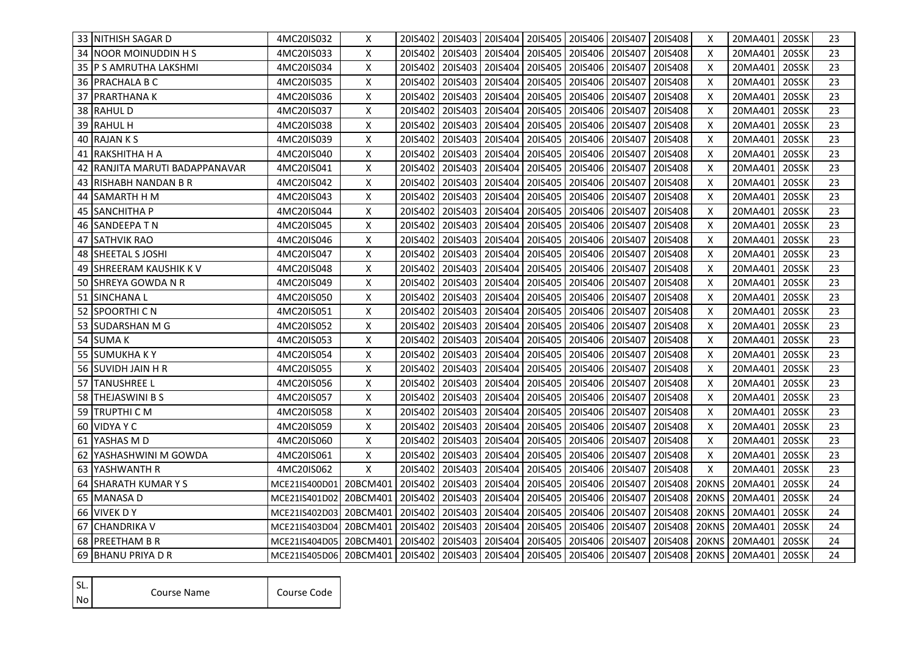| 33 INITHISH SAGAR D             | 4MC20IS032                                                             | X        |         | 2015402   2015403   2015404   2015405   2015406   2015407 |                   |         |                 |         | 20IS408       | X     | 20MA401   20SSK |       | 23 |
|---------------------------------|------------------------------------------------------------------------|----------|---------|-----------------------------------------------------------|-------------------|---------|-----------------|---------|---------------|-------|-----------------|-------|----|
| 34 INOOR MOINUDDIN H S          | 4MC20IS033                                                             | X        | 20IS402 | 20IS403   20IS404                                         |                   | 20IS405 | 20IS406         | 20IS407 | 20IS408       | X     | 20MA401         | 20SSK | 23 |
| 35 IP S AMRUTHA LAKSHMI         | 4MC20IS034                                                             | X        | 20IS402 |                                                           | 201S403   201S404 | 20IS405 | 20IS406         | 20IS407 | 20IS408       | X     | 20MA401         | 20SSK | 23 |
| 36 PRACHALA B C                 | 4MC20IS035                                                             | X        | 20IS402 | 20IS403                                                   | 20IS404           | 20IS405 | 20IS406         | 20IS407 | 20IS408       | X     | 20MA401         | 20SSK | 23 |
| 37   PRARTHANA K                | 4MC20IS036                                                             | X        | 20IS402 | 20IS403                                                   | 20IS404           | 20IS405 | 20IS406         | 20IS407 | 20IS408       | X     | 20MA401         | 20SSK | 23 |
| 38 RAHUL D                      | 4MC20IS037                                                             | X        | 20IS402 | 20IS403                                                   | 20IS404           | 20IS405 | 20IS406         | 20IS407 | 20IS408       | X     | 20MA401         | 20SSK | 23 |
| 39 RAHUL H                      | 4MC20IS038                                                             | X        | 20IS402 | 20IS403                                                   | 20IS404           | 20IS405 | 20IS406         | 20IS407 | 20IS408       | X     | 20MA401         | 20SSK | 23 |
| 40 RAJAN K S                    | 4MC20IS039                                                             | X        | 20IS402 | 20IS403                                                   | 20IS404           | 20IS405 | 20IS406         | 20IS407 | 20IS408       | X     | 20MA401         | 20SSK | 23 |
| 41  RAKSHITHA H A               | 4MC20IS040                                                             | X        | 20IS402 | 20IS403                                                   | 20IS404           | 20IS405 | 20IS406         | 20IS407 | 20IS408       | X     | 20MA401         | 20SSK | 23 |
| 42 IRANJITA MARUTI BADAPPANAVAR | 4MC20IS041                                                             | X        | 20IS402 | 20IS403                                                   | 20IS404           | 20IS405 | 20IS406         | 20IS407 | 20IS408       | X     | 20MA401         | 20SSK | 23 |
| 43 IRISHABH NANDAN B R          | 4MC20IS042                                                             | X        | 20IS402 | 20IS403                                                   | 20IS404           | 20IS405 | 20IS406         | 20IS407 | 20IS408       | X     | 20MA401         | 20SSK | 23 |
| 44 ISAMARTH H M                 | 4MC20IS043                                                             | X        | 20IS402 | 20IS403                                                   | 20IS404           | 20IS405 | 20IS406         | 20IS407 | 20IS408       | X     | 20MA401         | 20SSK | 23 |
| 45  SANCHITHA P                 | 4MC20IS044                                                             | X        | 20IS402 | 20IS403                                                   | 20IS404           | 20IS405 | 20IS406         | 20IS407 | 20IS408       | х     | 20MA401         | 20SSK | 23 |
| 46 SANDEEPA T N                 | 4MC20IS045                                                             | X        | 20IS402 | 20IS403                                                   | 20IS404           | 20IS405 | 20IS406         | 20IS407 | 20IS408       | X     | 20MA401         | 20SSK | 23 |
| 47 SATHVIK RAO                  | 4MC20IS046                                                             | X        | 20IS402 | 20IS403                                                   | 20IS404           | 20IS405 | 20IS406         | 20IS407 | 20IS408       | X     | 20MA401         | 20SSK | 23 |
| 48 SHEETAL S JOSHI              | 4MC20IS047                                                             | X        | 20IS402 | 20IS403                                                   | 20IS404           | 20IS405 | 20IS406         | 20IS407 | 20IS408       | X     | 20MA401         | 20SSK | 23 |
| 49 SHREERAM KAUSHIK K V         | 4MC20IS048                                                             | X        | 20IS402 | 20IS403                                                   | 20IS404           | 20IS405 | 20IS406         | 20IS407 | 20IS408       | X     | 20MA401         | 20SSK | 23 |
| 50 ISHREYA GOWDA N R            | 4MC20IS049                                                             | X        | 20IS402 | 20IS403                                                   | 20IS404           | 20IS405 | 20IS406         | 20IS407 | 20IS408       | X     | 20MA401         | 20SSK | 23 |
| 51 ISINCHANA L                  | 4MC20IS050                                                             | Χ        | 20IS402 | 20IS403                                                   | 20IS404           | 20IS405 | 20IS406         | 20IS407 | 20IS408       | X     | 20MA401         | 20SSK | 23 |
| 52 SPOORTHI C N                 | 4MC20IS051                                                             | Χ        | 20IS402 | 20IS403                                                   | 20IS404           | 20IS405 | 20IS406         | 20IS407 | 20IS408       | X     | 20MA401         | 20SSK | 23 |
| 53 SUDARSHAN M G                | 4MC20IS052                                                             | Χ        | 20IS402 | 20IS403                                                   | 20IS404           | 20IS405 | 20IS406         | 20IS407 | 20IS408       | X     | 20MA401         | 20SSK | 23 |
| 54 <b>I</b> SUMA K              | 4MC20IS053                                                             | X        | 20IS402 | 20IS403                                                   | 20IS404           | 20IS405 | 20IS406         | 20IS407 | 20IS408       | X     | 20MA401         | 20SSK | 23 |
| 55 ISUMUKHA K Y                 | 4MC20IS054                                                             | X        | 20IS402 | 20IS403                                                   | 20IS404           | 20IS405 | 20IS406         | 20IS407 | 20IS408       | Χ     | 20MA401         | 20SSK | 23 |
| 56 SUVIDH JAIN H R              | 4MC20IS055                                                             | X        | 20IS402 | 20IS403                                                   | 20IS404           | 20IS405 | 20IS406         | 20IS407 | 20IS408       | Χ     | 20MA401         | 20SSK | 23 |
| <b>57 ITANUSHREE L</b>          | 4MC20IS056                                                             | X        | 20IS402 | 20IS403                                                   | 20IS404           | 20IS405 | 20IS406         | 20IS407 | 20IS408       | X     | 20MA401         | 20SSK | 23 |
| 58 <b>THEJASWINI B S</b>        | 4MC20IS057                                                             | X        | 20IS402 | 20IS403                                                   | 20IS404           | 20IS405 | 20IS406         | 20IS407 | 20IS408       | X     | 20MA401         | 20SSK | 23 |
| 59 <b>TRUPTHI C M</b>           | 4MC20IS058                                                             | X        | 20IS402 | 20IS403                                                   | 20IS404           | 20IS405 | 20IS406         | 20IS407 | 20IS408       | X     | 20MA401         | 20SSK | 23 |
| 60 VIDYA Y C                    | 4MC20IS059                                                             | X        | 20IS402 | 20IS403                                                   | 20IS404           | 20IS405 | 20IS406         | 20IS407 | 20IS408       | X     | 20MA401         | 20SSK | 23 |
| 61 IYASHAS M D                  | 4MC20IS060                                                             | Χ        | 20IS402 | 20IS403                                                   | 20IS404           | 20IS405 | 20IS406         | 20IS407 | 20IS408       | X     | 20MA401         | 20SSK | 23 |
| 62 IYASHASHWINI M GOWDA         | 4MC20IS061                                                             | Χ        | 20IS402 | 20IS403                                                   | 20IS404           | 20IS405 | 20IS406         | 20IS407 | 20IS408       | X     | 20MA401         | 20SSK | 23 |
| 63 IYASHWANTH R                 | 4MC20IS062                                                             | X        | 20IS402 | 20IS403                                                   | 20IS404           | 20IS405 | 20IS406         | 20IS407 | 20IS408       | X     | 20MA401         | 20SSK | 23 |
| 64 ISHARATH KUMAR Y S           | MCE21IS400D01                                                          | 20BCM401 | 20IS402 | 20IS403                                                   | 20IS404           | 20IS405 | 20IS406         | 20IS407 | 20IS408       | 20KNS | 20MA401         | 20SSK | 24 |
| 65 MANASA D                     | MCE21IS401D02                                                          | 20BCM401 | 20IS402 | 20IS403                                                   | 20IS404           | 20IS405 | 20IS406         | 20IS407 | 20IS408       | 20KNS | 20MA401         | 20SSK | 24 |
| 66 VIVEK DY                     | MCE21IS402D03 20BCM401                                                 |          | 20IS402 | 20IS403                                                   | 20IS404           | 20IS405 | 20IS406         | 20IS407 | 20IS408       | 20KNS | 20MA401         | 20SSK | 24 |
| 67 CHANDRIKA V                  | MCE21IS403D04 20BCM401                                                 |          | 20IS402 | 20IS403                                                   | 20IS404           | 20IS405 | 20IS406         | 20IS407 | 20IS408       | 20KNS | 20MA401         | 20SSK | 24 |
| 68 PREETHAM B R                 | MCE21IS404D05 20BCM401                                                 |          | 20IS402 | 20IS403                                                   | 20IS404           | 20IS405 | 201S406 201S407 |         | 20IS408       | 20KNS | 20MA401         | 20SSK | 24 |
| 69 BHANU PRIYA D R              | MCE21IS405D06 20BCM401 20IS402 20IS403 20IS404 20IS405 20IS406 20IS407 |          |         |                                                           |                   |         |                 |         | 20IS408 20KNS |       | 20MA401 20SSK   |       | 24 |

| ISL.           | Course Name | Course Code |  |  |  |
|----------------|-------------|-------------|--|--|--|
| N <sub>o</sub> |             |             |  |  |  |